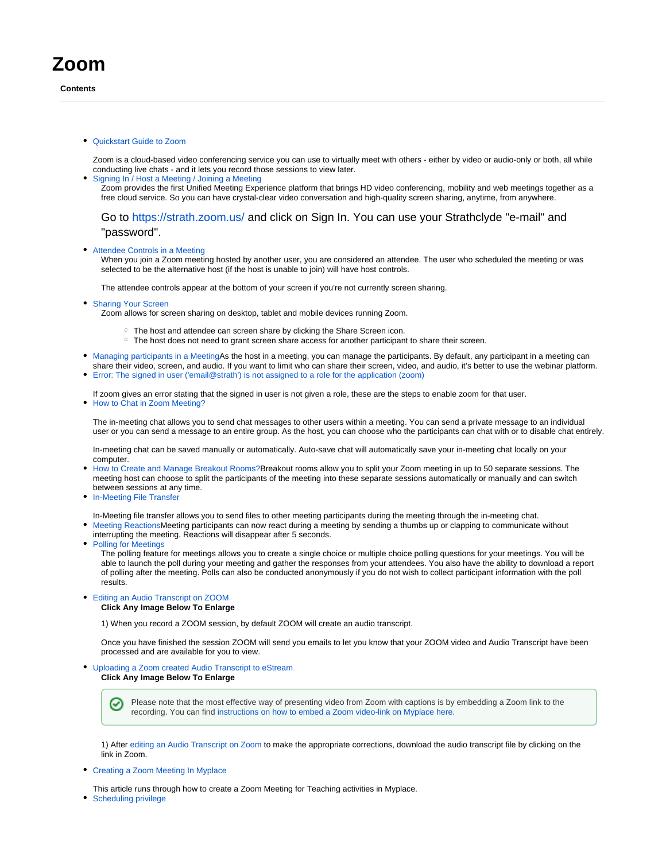## **Zoom**

**Contents**

[Quickstart Guide to Zoom](https://wiki.lte.strath.ac.uk/display/MS/Quickstart+Guide+to+Zoom)

Zoom is a cloud-based video conferencing service you can use to virtually meet with others - either by video or audio-only or both, all while conducting live chats - and it lets you record those sessions to view later.

[Signing In / Host a Meeting / Joining a Meeting](https://wiki.lte.strath.ac.uk/pages/viewpage.action?pageId=119308302) Zoom provides the first Unified Meeting Experience platform that brings HD video conferencing, mobility and web meetings together as a free cloud service. So you can have crystal-clear video conversation and high-quality screen sharing, anytime, from anywhere.

Go to <https://strath.zoom.us/>and click on Sign In. You can use your Strathclyde "e-mail" and "password".

[Attendee Controls in a Meeting](https://wiki.lte.strath.ac.uk/display/MS/Attendee+Controls+in+a+Meeting)

When you join a Zoom meeting hosted by another user, you are considered an attendee. The user who scheduled the meeting or was selected to be the alternative host (if the host is unable to join) will have host controls.

The attendee controls appear at the bottom of your screen if you're not currently screen sharing.

• [Sharing Your Screen](https://wiki.lte.strath.ac.uk/display/MS/Sharing+Your+Screen)

Zoom allows for screen sharing on desktop, tablet and mobile devices running Zoom.

- $\degree$  The host and attendee can screen share by clicking the Share Screen icon.
- o The host does not need to grant screen share access for another participant to share their screen.
- [Managing participants in a MeetingA](https://wiki.lte.strath.ac.uk/display/MS/Managing+participants+in+a+Meeting)s the host in a meeting, you can manage the participants. By default, any participant in a meeting can share their video, screen, and audio. If you want to limit who can share their screen, video, and audio, it's better to use the webinar platform.
- [Error: The signed in user \('email@strath'\) is not assigned to a role for the application \(zoom\)](https://wiki.lte.strath.ac.uk/pages/viewpage.action?pageId=117932088)

If zoom gives an error stating that the signed in user is not given a role, these are the steps to enable zoom for that user.

• [How to Chat in Zoom Meeting?](https://wiki.lte.strath.ac.uk/pages/viewpage.action?pageId=120029246)

The in-meeting chat allows you to send chat messages to other users within a meeting. You can send a private message to an individual user or you can send a message to an entire group. As the host, you can choose who the participants can chat with or to disable chat entirely.

In-meeting chat can be saved manually or automatically. Auto-save chat will automatically save your in-meeting chat locally on your computer.

- [How to Create and Manage Breakout Rooms?](https://wiki.lte.strath.ac.uk/pages/viewpage.action?pageId=120029239)Breakout rooms allow you to split your Zoom meeting in up to 50 separate sessions. The meeting host can choose to split the participants of the meeting into these separate sessions automatically or manually and can switch between sessions at any time.
- **[In-Meeting File Transfer](https://wiki.lte.strath.ac.uk/display/MS/In-Meeting+File+Transfer)**

In-Meeting file transfer allows you to send files to other meeting participants during the meeting through the in-meeting chat.

- [Meeting ReactionsM](https://wiki.lte.strath.ac.uk/display/MS/Meeting+Reactions)eeting participants can now react during a meeting by sending a thumbs up or clapping to communicate without interrupting the meeting. Reactions will disappear after 5 seconds.
- [Polling for Meetings](https://wiki.lte.strath.ac.uk/display/MS/Polling+for+Meetings)

The polling feature for meetings allows you to create a single choice or multiple choice polling questions for your meetings. You will be able to launch the poll during your meeting and gather the responses from your attendees. You also have the ability to download a report of polling after the meeting. Polls can also be conducted anonymously if you do not wish to collect participant information with the poll results.

[Editing an Audio Transcript on ZOOM](https://wiki.lte.strath.ac.uk/display/MS/Editing+an+Audio+Transcript+on+ZOOM)

## **Click Any Image Below To Enlarge**

1) When you record a ZOOM session, by default ZOOM will create an audio transcript.

Once you have finished the session ZOOM will send you emails to let you know that your ZOOM video and Audio Transcript have been processed and are available for you to view.

[Uploading a Zoom created Audio Transcript to eStream](https://wiki.lte.strath.ac.uk/display/MS/Uploading+a+Zoom+created+Audio+Transcript+to+eStream)

**Click Any Image Below To Enlarge**

Ø Please note that the most effective way of presenting video from Zoom with captions is by embedding a Zoom link to the recording. You can find [instructions on how to embed a Zoom video-link on Myplace here.](https://support.myplace.strath.ac.uk/display/MS/Providing+a+Zoom+Recording+from+within+Myplace)

1) After [editing an Audio Transcript on Zoom](https://support.myplace.strath.ac.uk/display/MS/Editing+an+Audio+Transcript+on+ZOOM) to make the appropriate corrections, download the audio transcript file by clicking on the link in Zoom.

- [Creating a Zoom Meeting In Myplace](https://wiki.lte.strath.ac.uk/display/MS/Creating+a+Zoom+Meeting+In+Myplace)
- This article runs through how to create a Zoom Meeting for Teaching activities in Myplace.
- [Scheduling privilege](https://wiki.lte.strath.ac.uk/display/MS/Scheduling+privilege)